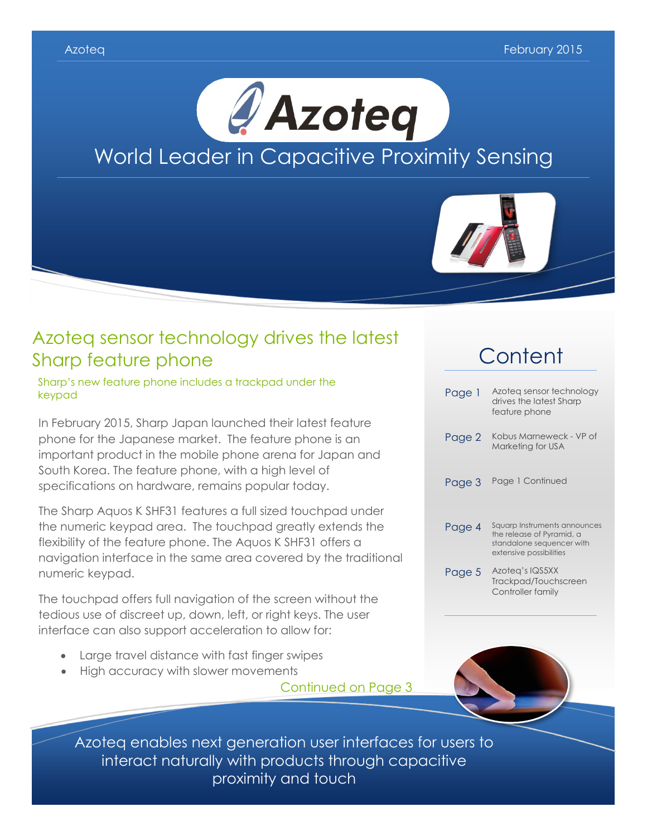



### Azoteq sensor technology drives the latest Sharp feature phone

Sharp's new feature phone includes a trackpad under the keypad

In February 2015, Sharp Japan launched their latest feature phone for the Japanese market. The feature phone is an important product in the mobile phone arena for Japan and South Korea. The feature phone, with a high level of specifications on hardware, remains popular today.

The Sharp Aquos K SHF31 features a full sized touchpad under the numeric keypad area. The touchpad greatly extends the flexibility of the feature phone. The Aquos K SHF31 offers a navigation interface in the same area covered by the traditional numeric keypad.

The touchpad offers full navigation of the screen without the tedious use of discreet up, down, left, or right keys. The user interface can also support acceleration to allow for:

- Large travel distance with fast finger swipes
- High accuracy with slower movements

Continued on Page 3

## **Content**

| Page 1 | Azoteg sensor technology<br>drives the latest Sharp<br>feature phone                                              |
|--------|-------------------------------------------------------------------------------------------------------------------|
| Page 2 | Kobus Marneweck - VP of<br>Marketing for USA                                                                      |
| Page 3 | Page 1 Continued                                                                                                  |
| Page 4 | Squarp Instruments announces<br>the release of Pyramid, a<br>standalone sequencer with<br>extensive possibilities |
| Page 5 | Azoteg's IQS5XX<br>Trackpad/Touchscreen<br>Controller family                                                      |



Azoteq enables next generation user interfaces for users to interact naturally with products through capacitive proximity and touch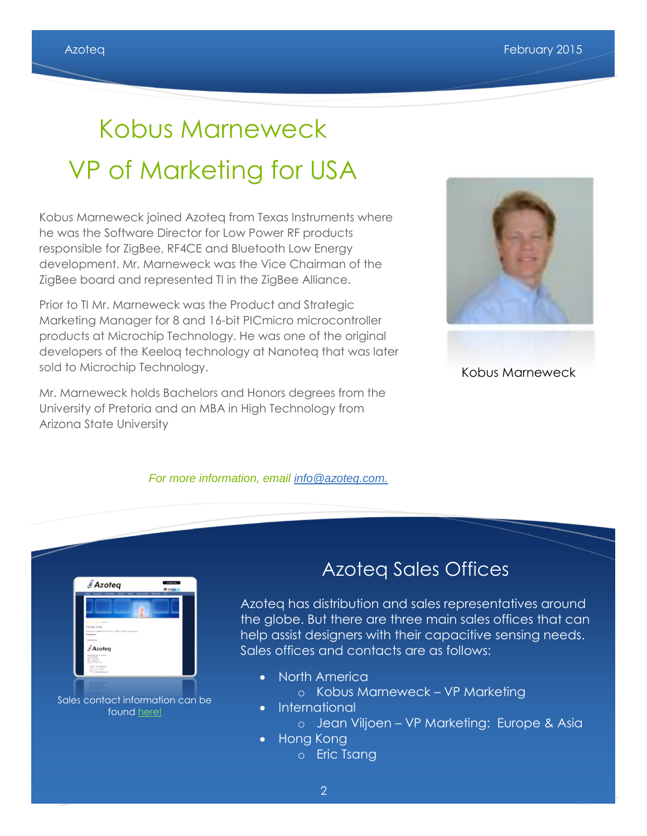# Kobus Marneweck VP of Marketing for USA

Kobus Marneweck joined Azoteq from Texas Instruments where he was the Software Director for Low Power RF products responsible for ZigBee, RF4CE and Bluetooth Low Energy development. Mr. Marneweck was the Vice Chairman of the ZigBee board and represented TI in the ZigBee Alliance.

Prior to TI Mr. Marneweck was the Product and Strategic Marketing Manager for 8 and 16-bit PICmicro microcontroller products at Microchip Technology. He was one of the original developers of the Keeloq technology at Nanoteq that was later sold to Microchip Technology.

Mr. Marneweck holds Bachelors and Honors degrees from the University of Pretoria and an MBA in High Technology from Arizona State University





### Kobus Marneweck



foun[d here!](http://www.azoteq.com/sales/sales.html)

## Azoteq Sales Offices

Azoteq has distribution and sales representatives around the globe. But there are three main sales offices that can help assist designers with their capacitive sensing needs. Sales offices and contacts are as follows:

- North America
	- o Kobus Marneweck VP Marketing
- International
	- o Jean Viljoen VP Marketing: Europe & Asia
- Hong Kong
	- o Eric Tsang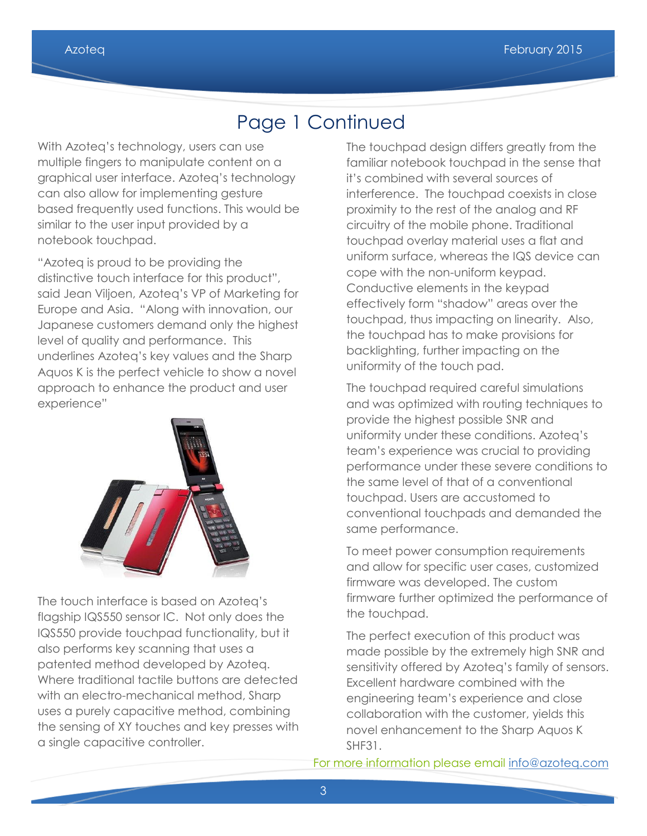## Page 1 Continued

With Azoteq's technology, users can use multiple fingers to manipulate content on a graphical user interface. Azoteq's technology can also allow for implementing gesture based frequently used functions. This would be similar to the user input provided by a notebook touchpad.

"Azoteq is proud to be providing the distinctive touch interface for this product", said Jean Viljoen, Azoteq's VP of Marketing for Europe and Asia. "Along with innovation, our Japanese customers demand only the highest level of quality and performance. This underlines Azoteq's key values and the Sharp Aquos K is the perfect vehicle to show a novel approach to enhance the product and user experience"



The touch interface is based on Azoteq's flagship IQS550 sensor IC. Not only does the IQS550 provide touchpad functionality, but it also performs key scanning that uses a patented method developed by Azoteq. Where traditional tactile buttons are detected with an electro-mechanical method, Sharp uses a purely capacitive method, combining the sensing of XY touches and key presses with a single capacitive controller.

The touchpad design differs greatly from the familiar notebook touchpad in the sense that it's combined with several sources of interference. The touchpad coexists in close proximity to the rest of the analog and RF circuitry of the mobile phone. Traditional touchpad overlay material uses a flat and uniform surface, whereas the IQS device can cope with the non-uniform keypad. Conductive elements in the keypad effectively form "shadow" areas over the touchpad, thus impacting on linearity. Also, the touchpad has to make provisions for backlighting, further impacting on the uniformity of the touch pad.

The touchpad required careful simulations and was optimized with routing techniques to provide the highest possible SNR and uniformity under these conditions. Azoteq's team's experience was crucial to providing performance under these severe conditions to the same level of that of a conventional touchpad. Users are accustomed to conventional touchpads and demanded the same performance.

To meet power consumption requirements and allow for specific user cases, customized firmware was developed. The custom firmware further optimized the performance of the touchpad.

The perfect execution of this product was made possible by the extremely high SNR and sensitivity offered by Azoteq's family of sensors. Excellent hardware combined with the engineering team's experience and close collaboration with the customer, yields this novel enhancement to the Sharp Aquos K SHF31.

For [more information please email info@azoteq.com](http://www.youtube.com/watch?v=ZHzaVzYEZbw)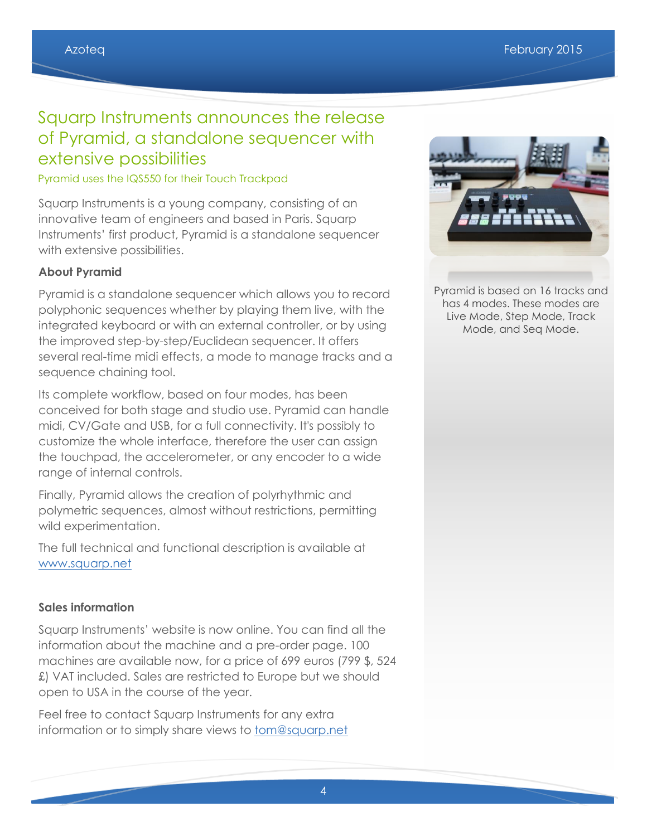### Squarp Instruments announces the release of Pyramid, a standalone sequencer with extensive possibilities

#### Pyramid uses the IQS550 for their Touch Trackpad

Squarp Instruments is a young company, consisting of an innovative team of engineers and based in Paris. Squarp Instruments' first product, Pyramid is a standalone sequencer with extensive possibilities.

#### **About Pyramid**

Pyramid is a standalone sequencer which allows you to record polyphonic sequences whether by playing them live, with the integrated keyboard or with an external controller, or by using the improved step-by-step/Euclidean sequencer. It offers several real-time midi effects, a mode to manage tracks and a sequence chaining tool.

Its complete workflow, based on four modes, has been conceived for both stage and studio use. Pyramid can handle midi, CV/Gate and USB, for a full connectivity. It's possibly to customize the whole interface, therefore the user can assign the touchpad, the accelerometer, or any encoder to a wide range of internal controls.

Finally, Pyramid allows the creation of polyrhythmic and polymetric sequences, almost without restrictions, permitting wild experimentation.

The full technical and functional description is available at [www.squarp.net](http://www.squarp.net/)

#### **Sales information**

Squarp Instruments' website is now online. You can find all the information about the machine and a pre-order page. 100 machines are available now, for a price of 699 euros (799 \$, 524 £) VAT included. Sales are restricted to Europe but we should open to USA in the course of the year.

Feel free to contact Squarp Instruments for any extra information or to simply share views to **tom@squarp.net** 



Pyramid is based on 16 tracks and has 4 modes. These modes are Live Mode, Step Mode, Track Mode, and Seq Mode.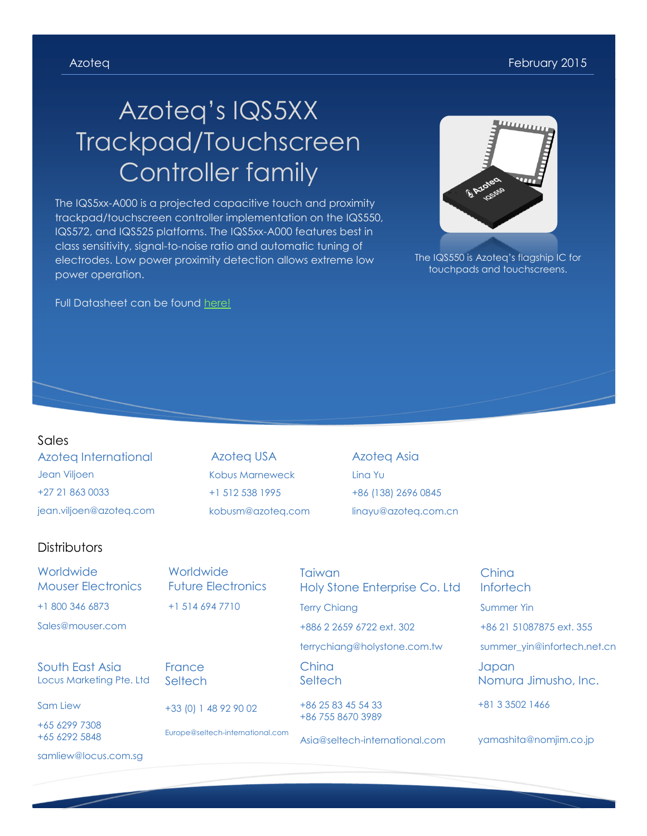# Azoteq's IQS5XX Trackpad/Touchscreen Controller family

The IQS5xx-A000 is a projected capacitive touch and proximity trackpad/touchscreen controller implementation on the IQS550, IQS572, and IQS525 platforms. The IQS5xx-A000 features best in class sensitivity, signal-to-noise ratio and automatic tuning of electrodes. Low power proximity detection allows extreme low power operation.

Full Datasheet can be found [here!](http://www.azoteq.com/images/stories/pdf/iqs5xx-a000_trackpad_datasheet.pdf)

#### Sales

Azoteq International Jean Viljoen +27 21 863 0033 jean.viljoen@azoteq.com

Azoteq USA Kobus Marneweck +1 512 538 1995 kobusm@azoteq.com Azoteq Asia Lina Yu +86 (138) 2696 0845 linayu@azoteq.com.cn

#### **Distributors**

| Worldwide<br><b>Mouser Electronics</b>      | Worldwide<br><b>Future Electronics</b> | Taiwan<br>Holy Stone Enterprise Co. Ltd | China<br><b>Infortech</b>     |
|---------------------------------------------|----------------------------------------|-----------------------------------------|-------------------------------|
| +1 800 346 6873                             | $+1$ 514 694 7710                      | <b>Terry Chiang</b>                     | <b>Summer Yin</b>             |
| Sales@mouser.com                            |                                        | +886 2 2659 6722 ext. 302               | +86 21 51087875 ext. 355      |
|                                             |                                        | terrychiang@holystone.com.tw            | summer_yin@infortech.net.cn   |
| South East Asia<br>Locus Marketing Pte. Ltd | France<br>Seltech                      | China<br>Seltech                        | Japan<br>Nomura Jimusho, Inc. |
| Sam Liew                                    | +33 (0) 1 48 92 90 02                  | +86 25 83 45 54 33                      | +81 3 3502 1466               |
| +65 6299 7308<br>+65 6292 5848              | Europe@seltech-international.com       | +86 755 8670 3989                       |                               |
|                                             |                                        | Asia@seltech-international.com          | yamashita@nomjim.co.jp        |
| samliew@locus.com.sq                        |                                        |                                         |                               |



The IQS550 is Azoteq's flagship IC for touchpads and touchscreens.